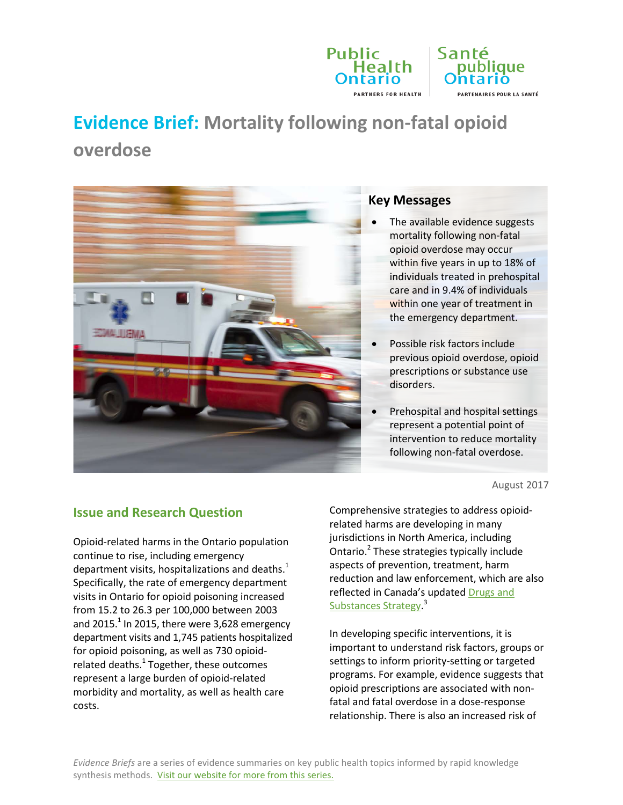

# **Evidence Brief: Mortality following non-fatal opioid overdose**



#### **Key Messages**

- The available evidence suggests mortality following non-fatal opioid overdose may occur within five years in up to 18% of individuals treated in prehospital care and in 9.4% of individuals within one year of treatment in the emergency department.
- Possible risk factors include previous opioid overdose, opioid prescriptions or substance use disorders.
- Prehospital and hospital settings represent a potential point of intervention to reduce mortality following non-fatal overdose.

August 2017

# **Issue and Research Question**

Opioid-related harms in the Ontario population continue to rise, including emergency department visits, hospitalizations and deaths. $<sup>1</sup>$ </sup> Specifically, the rate of emergency department visits in Ontario for opioid poisoning increased from 15.2 to 26.3 per 100,000 between 2003 and 2015. $^1$  In 2015, there were 3,628 emergency department visits and 1,745 patients hospitalized for opioid poisoning, as well as 730 opioidrelated deaths.<sup>1</sup> Together, these outcomes represent a large burden of opioid-related morbidity and mortality, as well as health care costs.

Comprehensive strategies to address opioidrelated harms are developing in many jurisdictions in North America, including Ontario.2 These strategies typically include aspects of prevention, treatment, harm reduction and law enforcement, which are also reflected in Canada's updated [Drugs and](https://www.canada.ca/en/health-canada/news/2016/12/new-canadian-drugs-substances-strategy.html)  [Substances Strategy.](https://www.canada.ca/en/health-canada/news/2016/12/new-canadian-drugs-substances-strategy.html)<sup>3</sup>

In developing specific interventions, it is important to understand risk factors, groups or settings to inform priority-setting or targeted programs. For example, evidence suggests that opioid prescriptions are associated with nonfatal and fatal overdose in a dose-response relationship. There is also an increased risk of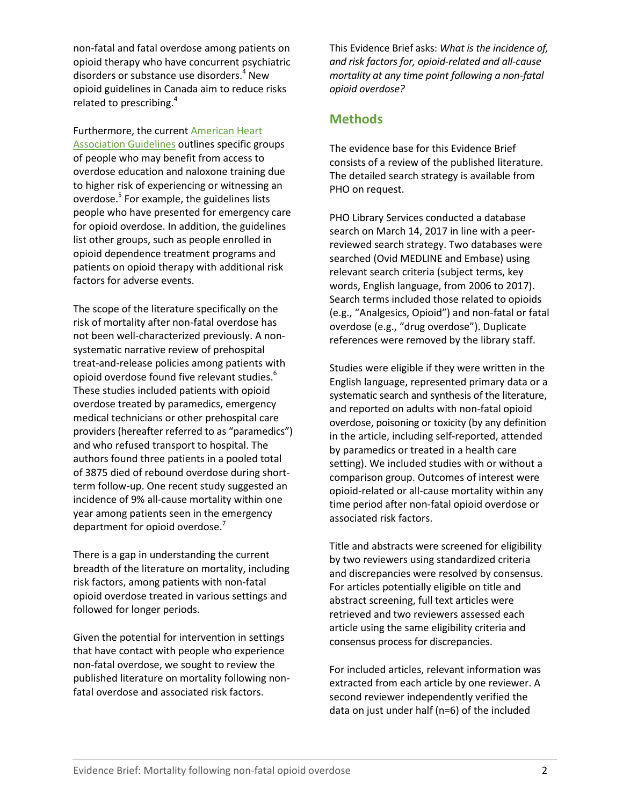non-fatal and fatal overdose among patients on opioid therapy who have concurrent psychiatric disorders or substance use disorders.<sup>4</sup> New opioid guidelines in Canada aim to reduce risks related to prescribing.<sup>4</sup>

Furthermore, the curren[t American Heart](http://circ.ahajournals.org/content/132/18_suppl_2/S501)  [Association Guidelines](http://circ.ahajournals.org/content/132/18_suppl_2/S501) outlines specific groups of people who may benefit from access to overdose education and naloxone training due to higher risk of experiencing or witnessing an overdose. <sup>5</sup> For example, the guidelines lists people who have presented for emergency care for opioid overdose. In addition, the guidelines list other groups, such as people enrolled in opioid dependence treatment programs and patients on opioid therapy with additional risk factors for adverse events.

The scope of the literature specifically on the risk of mortality after non-fatal overdose has not been well-characterized previously. A nonsystematic narrative review of prehospital treat-and-release policies among patients with opioid overdose found five relevant studies.<sup>6</sup> These studies included patients with opioid overdose treated by paramedics, emergency medical technicians or other prehospital care providers (hereafter referred to as "paramedics") and who refused transport to hospital. The authors found three patients in a pooled total of 3875 died of rebound overdose during shortterm follow-up. One recent study suggested an incidence of 9% all-cause mortality within one year among patients seen in the emergency department for opioid overdose.<sup>7</sup>

There is a gap in understanding the current breadth of the literature on mortality, including risk factors, among patients with non-fatal opioid overdose treated in various settings and followed for longer periods.

Given the potential for intervention in settings that have contact with people who experience non-fatal overdose, we sought to review the published literature on mortality following nonfatal overdose and associated risk factors.

This Evidence Brief asks: *What is the incidence of, and risk factors for, opioid-related and all-cause mortality at any time point following a non-fatal opioid overdose?*

#### **Methods**

The evidence base for this Evidence Brief consists of a review of the published literature. The detailed search strategy is available from PHO on request.

PHO Library Services conducted a database search on March 14, 2017 in line with a peerreviewed search strategy. Two databases were searched (Ovid MEDLINE and Embase) using relevant search criteria (subject terms, key words, English language, from 2006 to 2017). Search terms included those related to opioids (e.g., "Analgesics, Opioid") and non-fatal or fatal overdose (e.g., "drug overdose"). Duplicate references were removed by the library staff.

Studies were eligible if they were written in the English language, represented primary data or a systematic search and synthesis of the literature, and reported on adults with non-fatal opioid overdose, poisoning or toxicity (by any definition in the article, including self-reported, attended by paramedics or treated in a health care setting). We included studies with or without a comparison group. Outcomes of interest were opioid-related or all-cause mortality within any time period after non-fatal opioid overdose or associated risk factors.

Title and abstracts were screened for eligibility by two reviewers using standardized criteria and discrepancies were resolved by consensus. For articles potentially eligible on title and abstract screening, full text articles were retrieved and two reviewers assessed each article using the same eligibility criteria and consensus process for discrepancies.

For included articles, relevant information was extracted from each article by one reviewer. A second reviewer independently verified the data on just under half (n=6) of the included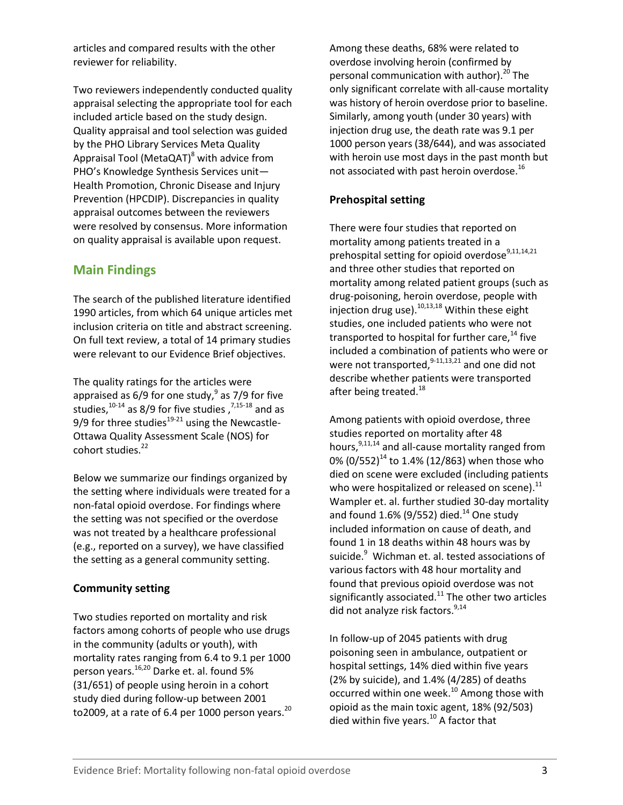articles and compared results with the other reviewer for reliability.

Two reviewers independently conducted quality appraisal selecting the appropriate tool for each included article based on the study design. Quality appraisal and tool selection was guided by the PHO Library Services Meta Quality Appraisal Tool (MetaQAT)<sup>8</sup> with advice from PHO's Knowledge Synthesis Services unit— Health Promotion, Chronic Disease and Injury Prevention (HPCDIP). Discrepancies in quality appraisal outcomes between the reviewers were resolved by consensus. More information on quality appraisal is available upon request.

# **Main Findings**

The search of the published literature identified 1990 articles, from which 64 unique articles met inclusion criteria on title and abstract screening. On full text review, a total of 14 primary studies were relevant to our Evidence Brief objectives.

The quality ratings for the articles were appraised as  $6/9$  for one study,  $9$  as 7/9 for five studies,  $10^{-14}$  as 8/9 for five studies,  $7,15-18$  and as 9/9 for three studies $19-21$  using the Newcastle-Ottawa Quality Assessment Scale (NOS) for cohort studies.<sup>22</sup>

Below we summarize our findings organized by the setting where individuals were treated for a non-fatal opioid overdose. For findings where the setting was not specified or the overdose was not treated by a healthcare professional (e.g., reported on a survey), we have classified the setting as a general community setting.

#### **Community setting**

Two studies reported on mortality and risk factors among cohorts of people who use drugs in the community (adults or youth), with mortality rates ranging from 6.4 to 9.1 per 1000 person years. 16,20 Darke et. al. found 5% (31/651) of people using heroin in a cohort study died during follow-up between 2001 to2009, at a rate of 6.4 per 1000 person years. $^{20}$  Among these deaths, 68% were related to overdose involving heroin (confirmed by personal communication with author).<sup>20</sup> The only significant correlate with all-cause mortality was history of heroin overdose prior to baseline. Similarly, among youth (under 30 years) with injection drug use, the death rate was 9.1 per 1000 person years (38/644), and was associated with heroin use most days in the past month but not associated with past heroin overdose.<sup>16</sup>

#### **Prehospital setting**

There were four studies that reported on mortality among patients treated in a prehospital setting for opioid overdose $9,11,14,21$ and three other studies that reported on mortality among related patient groups (such as drug-poisoning, heroin overdose, people with injection drug use).<sup>10,13,18</sup> Within these eight studies, one included patients who were not transported to hospital for further care, $^{14}$  five included a combination of patients who were or were not transported,<sup>9-11,13,21</sup> and one did not describe whether patients were transported after being treated.<sup>18</sup>

Among patients with opioid overdose, three studies reported on mortality after 48 hours,<sup>9,11,14</sup> and all-cause mortality ranged from 0%  $(0/552)^{14}$  to 1.4% (12/863) when those who died on scene were excluded (including patients who were hospitalized or released on scene).<sup>11</sup> Wampler et. al. further studied 30-day mortality and found  $1.6\%$  (9/552) died.<sup>14</sup> One study included information on cause of death, and found 1 in 18 deaths within 48 hours was by suicide.<sup>9</sup> Wichman et. al. tested associations of various factors with 48 hour mortality and found that previous opioid overdose was not significantly associated. $^{11}$  The other two articles did not analyze risk factors.<sup>9,14</sup>

In follow-up of 2045 patients with drug poisoning seen in ambulance, outpatient or hospital settings, 14% died within five years (2% by suicide), and 1.4% (4/285) of deaths occurred within one week. <sup>10</sup> Among those with opioid as the main toxic agent, 18% (92/503) died within five years. $^{10}$  A factor that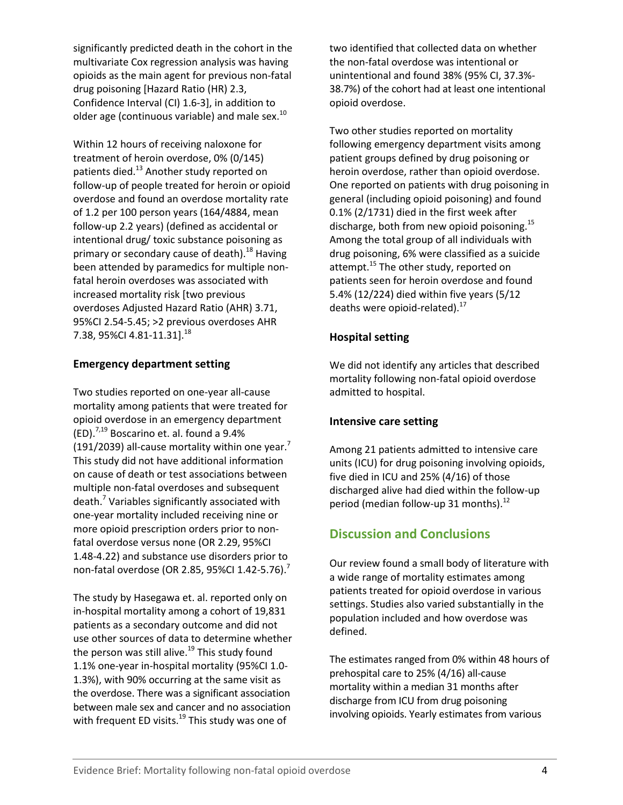significantly predicted death in the cohort in the multivariate Cox regression analysis was having opioids as the main agent for previous non-fatal drug poisoning [Hazard Ratio (HR) 2.3, Confidence Interval (CI) 1.6-3], in addition to older age (continuous variable) and male sex.<sup>10</sup>

Within 12 hours of receiving naloxone for treatment of heroin overdose, 0% (0/145) patients died.<sup>13</sup> Another study reported on follow-up of people treated for heroin or opioid overdose and found an overdose mortality rate of 1.2 per 100 person years (164/4884, mean follow-up 2.2 years) (defined as accidental or intentional drug/ toxic substance poisoning as primary or secondary cause of death).<sup>18</sup> Having been attended by paramedics for multiple nonfatal heroin overdoses was associated with increased mortality risk [two previous overdoses Adjusted Hazard Ratio (AHR) 3.71, 95%CI 2.54-5.45; >2 previous overdoses AHR 7.38, 95%CI 4.81-11.31].<sup>18</sup>

#### **Emergency department setting**

Two studies reported on one-year all-cause mortality among patients that were treated for opioid overdose in an emergency department  $(ED).$ <sup>7,19</sup> Boscarino et. al. found a 9.4% (191/2039) all-cause mortality within one year. $^7$ This study did not have additional information on cause of death or test associations between multiple non-fatal overdoses and subsequent death. <sup>7</sup> Variables significantly associated with one-year mortality included receiving nine or more opioid prescription orders prior to nonfatal overdose versus none (OR 2.29, 95%CI 1.48-4.22) and substance use disorders prior to non-fatal overdose (OR 2.85, 95%CI 1.42-5.76).<sup>7</sup>

The study by Hasegawa et. al. reported only on in-hospital mortality among a cohort of 19,831 patients as a secondary outcome and did not use other sources of data to determine whether the person was still alive.<sup>19</sup> This study found 1.1% one-year in-hospital mortality (95%CI 1.0- 1.3%), with 90% occurring at the same visit as the overdose. There was a significant association between male sex and cancer and no association with frequent ED visits.<sup>19</sup> This study was one of

two identified that collected data on whether the non-fatal overdose was intentional or unintentional and found 38% (95% CI, 37.3%- 38.7%) of the cohort had at least one intentional opioid overdose.

Two other studies reported on mortality following emergency department visits among patient groups defined by drug poisoning or heroin overdose, rather than opioid overdose. One reported on patients with drug poisoning in general (including opioid poisoning) and found 0.1% (2/1731) died in the first week after discharge, both from new opioid poisoning.<sup>15</sup> Among the total group of all individuals with drug poisoning, 6% were classified as a suicide attempt.<sup>15</sup> The other study, reported on patients seen for heroin overdose and found 5.4% (12/224) died within five years (5/12 deaths were opioid-related).<sup>17</sup>

#### **Hospital setting**

We did not identify any articles that described mortality following non-fatal opioid overdose admitted to hospital.

#### **Intensive care setting**

Among 21 patients admitted to intensive care units (ICU) for drug poisoning involving opioids, five died in ICU and 25% (4/16) of those discharged alive had died within the follow-up period (median follow-up 31 months).<sup>12</sup>

# **Discussion and Conclusions**

Our review found a small body of literature with a wide range of mortality estimates among patients treated for opioid overdose in various settings. Studies also varied substantially in the population included and how overdose was defined.

The estimates ranged from 0% within 48 hours of prehospital care to 25% (4/16) all-cause mortality within a median 31 months after discharge from ICU from drug poisoning involving opioids. Yearly estimates from various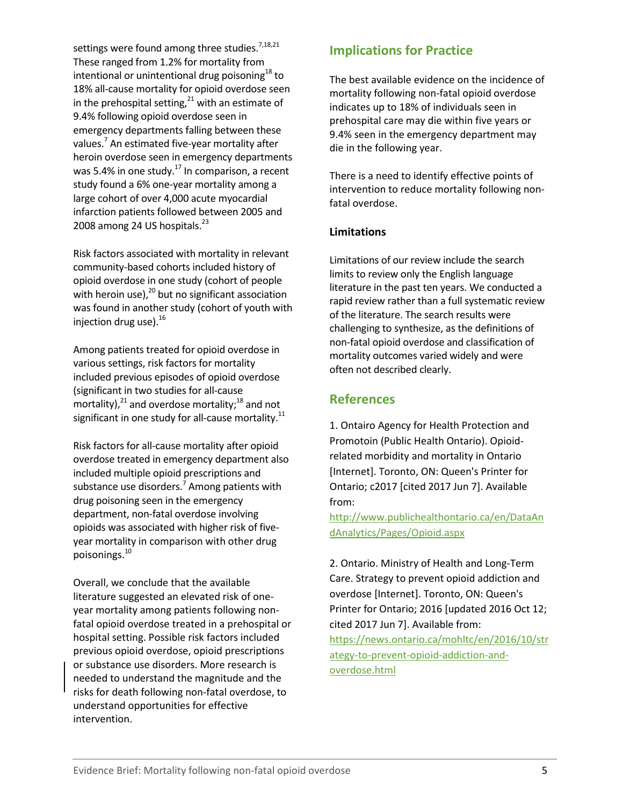settings were found among three studies.<sup>7,18,21</sup> These ranged from 1.2% for mortality from intentional or unintentional drug poisoning $^{18}$  to 18% all-cause mortality for opioid overdose seen in the prehospital setting, $^{21}$  with an estimate of 9.4% following opioid overdose seen in emergency departments falling between these values.<sup>7</sup> An estimated five-year mortality after heroin overdose seen in emergency departments was 5.4% in one study.<sup>17</sup> In comparison, a recent study found a 6% one-year mortality among a large cohort of over 4,000 acute myocardial infarction patients followed between 2005 and 2008 among 24 US hospitals.<sup>23</sup>

Risk factors associated with mortality in relevant community-based cohorts included history of opioid overdose in one study (cohort of people with heroin use), $^{20}$  but no significant association was found in another study (cohort of youth with injection drug use).<sup>16</sup>

Among patients treated for opioid overdose in various settings, risk factors for mortality included previous episodes of opioid overdose (significant in two studies for all-cause mortality), $^{21}$  and overdose mortality; $^{18}$  and not significant in one study for all-cause mortality. $^{11}$ 

Risk factors for all-cause mortality after opioid overdose treated in emergency department also included multiple opioid prescriptions and substance use disorders.<sup>7</sup> Among patients with drug poisoning seen in the emergency department, non-fatal overdose involving opioids was associated with higher risk of fiveyear mortality in comparison with other drug poisonings. 10

Overall, we conclude that the available literature suggested an elevated risk of oneyear mortality among patients following nonfatal opioid overdose treated in a prehospital or hospital setting. Possible risk factors included previous opioid overdose, opioid prescriptions or substance use disorders. More research is needed to understand the magnitude and the risks for death following non-fatal overdose, to understand opportunities for effective intervention.

# **Implications for Practice**

The best available evidence on the incidence of mortality following non-fatal opioid overdose indicates up to 18% of individuals seen in prehospital care may die within five years or 9.4% seen in the emergency department may die in the following year.

There is a need to identify effective points of intervention to reduce mortality following nonfatal overdose.

#### **Limitations**

Limitations of our review include the search limits to review only the English language literature in the past ten years. We conducted a rapid review rather than a full systematic review of the literature. The search results were challenging to synthesize, as the definitions of non-fatal opioid overdose and classification of mortality outcomes varied widely and were often not described clearly.

# **References**

1. Ontairo Agency for Health Protection and Promotoin (Public Health Ontario). Opioidrelated morbidity and mortality in Ontario [Internet]. Toronto, ON: Queen's Printer for Ontario; c2017 [cited 2017 Jun 7]. Available from:

[http://www.publichealthontario.ca/en/DataAn](http://www.publichealthontario.ca/en/DataAndAnalytics/Pages/Opioid.aspx) [dAnalytics/Pages/Opioid.aspx](http://www.publichealthontario.ca/en/DataAndAnalytics/Pages/Opioid.aspx)

2. Ontario. Ministry of Health and Long-Term Care. Strategy to prevent opioid addiction and overdose [Internet]. Toronto, ON: Queen's Printer for Ontario; 2016 [updated 2016 Oct 12; cited 2017 Jun 7]. Available from: [https://news.ontario.ca/mohltc/en/2016/10/str](https://news.ontario.ca/mohltc/en/2016/10/strategy-to-prevent-opioid-addiction-and-overdose.html) [ategy-to-prevent-opioid-addiction-and](https://news.ontario.ca/mohltc/en/2016/10/strategy-to-prevent-opioid-addiction-and-overdose.html)[overdose.html](https://news.ontario.ca/mohltc/en/2016/10/strategy-to-prevent-opioid-addiction-and-overdose.html)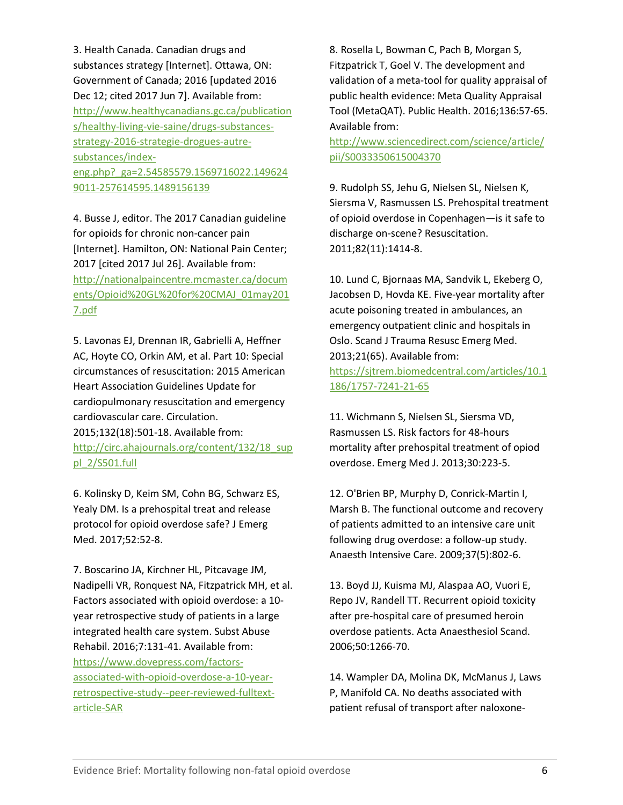3. Health Canada. Canadian drugs and substances strategy [Internet]. Ottawa, ON: Government of Canada; 2016 [updated 2016 Dec 12; cited 2017 Jun 7]. Available from: [http://www.healthycanadians.gc.ca/publication](http://www.healthycanadians.gc.ca/publications/healthy-living-vie-saine/drugs-substances-strategy-2016-strategie-drogues-autre-substances/index-eng.php?_ga=2.54585579.1569716022.1496249011-257614595.1489156139) [s/healthy-living-vie-saine/drugs-substances](http://www.healthycanadians.gc.ca/publications/healthy-living-vie-saine/drugs-substances-strategy-2016-strategie-drogues-autre-substances/index-eng.php?_ga=2.54585579.1569716022.1496249011-257614595.1489156139)[strategy-2016-strategie-drogues-autre](http://www.healthycanadians.gc.ca/publications/healthy-living-vie-saine/drugs-substances-strategy-2016-strategie-drogues-autre-substances/index-eng.php?_ga=2.54585579.1569716022.1496249011-257614595.1489156139)[substances/index](http://www.healthycanadians.gc.ca/publications/healthy-living-vie-saine/drugs-substances-strategy-2016-strategie-drogues-autre-substances/index-eng.php?_ga=2.54585579.1569716022.1496249011-257614595.1489156139)[eng.php?\\_ga=2.54585579.1569716022.149624](http://www.healthycanadians.gc.ca/publications/healthy-living-vie-saine/drugs-substances-strategy-2016-strategie-drogues-autre-substances/index-eng.php?_ga=2.54585579.1569716022.1496249011-257614595.1489156139) [9011-257614595.1489156139](http://www.healthycanadians.gc.ca/publications/healthy-living-vie-saine/drugs-substances-strategy-2016-strategie-drogues-autre-substances/index-eng.php?_ga=2.54585579.1569716022.1496249011-257614595.1489156139)

4. Busse J, editor. The 2017 Canadian guideline for opioids for chronic non-cancer pain [Internet]. Hamilton, ON: National Pain Center; 2017 [cited 2017 Jul 26]. Available from: [http://nationalpaincentre.mcmaster.ca/docum](http://nationalpaincentre.mcmaster.ca/documents/Opioid%20GL%20for%20CMAJ_01may2017.pdf) [ents/Opioid%20GL%20for%20CMAJ\\_01may201](http://nationalpaincentre.mcmaster.ca/documents/Opioid%20GL%20for%20CMAJ_01may2017.pdf) [7.pdf](http://nationalpaincentre.mcmaster.ca/documents/Opioid%20GL%20for%20CMAJ_01may2017.pdf)

5. Lavonas EJ, Drennan IR, Gabrielli A, Heffner AC, Hoyte CO, Orkin AM, et al. Part 10: Special circumstances of resuscitation: 2015 American Heart Association Guidelines Update for cardiopulmonary resuscitation and emergency cardiovascular care. Circulation. 2015;132(18):501-18. Available from: [http://circ.ahajournals.org/content/132/18\\_sup](http://circ.ahajournals.org/content/132/18_suppl_2/S501.full) [pl\\_2/S501.full](http://circ.ahajournals.org/content/132/18_suppl_2/S501.full)

6. Kolinsky D, Keim SM, Cohn BG, Schwarz ES, Yealy DM. Is a prehospital treat and release protocol for opioid overdose safe? J Emerg Med. 2017;52:52-8.

7. Boscarino JA, Kirchner HL, Pitcavage JM, Nadipelli VR, Ronquest NA, Fitzpatrick MH, et al. Factors associated with opioid overdose: a 10 year retrospective study of patients in a large integrated health care system. Subst Abuse Rehabil. 2016;7:131-41. Available from: [https://www.dovepress.com/factors](https://www.dovepress.com/factors-associated-with-opioid-overdose-a-10-year-retrospective-study--peer-reviewed-fulltext-article-SAR)[associated-with-opioid-overdose-a-10-year](https://www.dovepress.com/factors-associated-with-opioid-overdose-a-10-year-retrospective-study--peer-reviewed-fulltext-article-SAR)[retrospective-study--peer-reviewed-fulltext](https://www.dovepress.com/factors-associated-with-opioid-overdose-a-10-year-retrospective-study--peer-reviewed-fulltext-article-SAR)[article-SAR](https://www.dovepress.com/factors-associated-with-opioid-overdose-a-10-year-retrospective-study--peer-reviewed-fulltext-article-SAR)

8. Rosella L, Bowman C, Pach B, Morgan S, Fitzpatrick T, Goel V. The development and validation of a meta-tool for quality appraisal of public health evidence: Meta Quality Appraisal Tool (MetaQAT). Public Health. 2016;136:57-65. Available from:

[http://www.sciencedirect.com/science/article/](http://www.sciencedirect.com/science/article/pii/S0033350615004370) [pii/S0033350615004370](http://www.sciencedirect.com/science/article/pii/S0033350615004370)

9. Rudolph SS, Jehu G, Nielsen SL, Nielsen K, Siersma V, Rasmussen LS. Prehospital treatment of opioid overdose in Copenhagen—is it safe to discharge on-scene? Resuscitation. 2011;82(11):1414-8.

10. Lund C, Bjornaas MA, Sandvik L, Ekeberg O, Jacobsen D, Hovda KE. Five-year mortality after acute poisoning treated in ambulances, an emergency outpatient clinic and hospitals in Oslo. Scand J Trauma Resusc Emerg Med. 2013;21(65). Available from: [https://sjtrem.biomedcentral.com/articles/10.1](https://sjtrem.biomedcentral.com/articles/10.1186/1757-7241-21-65) [186/1757-7241-21-65](https://sjtrem.biomedcentral.com/articles/10.1186/1757-7241-21-65)

11. Wichmann S, Nielsen SL, Siersma VD, Rasmussen LS. Risk factors for 48-hours mortality after prehospital treatment of opiod overdose. Emerg Med J. 2013;30:223-5.

12. O'Brien BP, Murphy D, Conrick-Martin I, Marsh B. The functional outcome and recovery of patients admitted to an intensive care unit following drug overdose: a follow-up study. Anaesth Intensive Care. 2009;37(5):802-6.

13. Boyd JJ, Kuisma MJ, Alaspaa AO, Vuori E, Repo JV, Randell TT. Recurrent opioid toxicity after pre-hospital care of presumed heroin overdose patients. Acta Anaesthesiol Scand. 2006;50:1266-70.

14. Wampler DA, Molina DK, McManus J, Laws P, Manifold CA. No deaths associated with patient refusal of transport after naloxone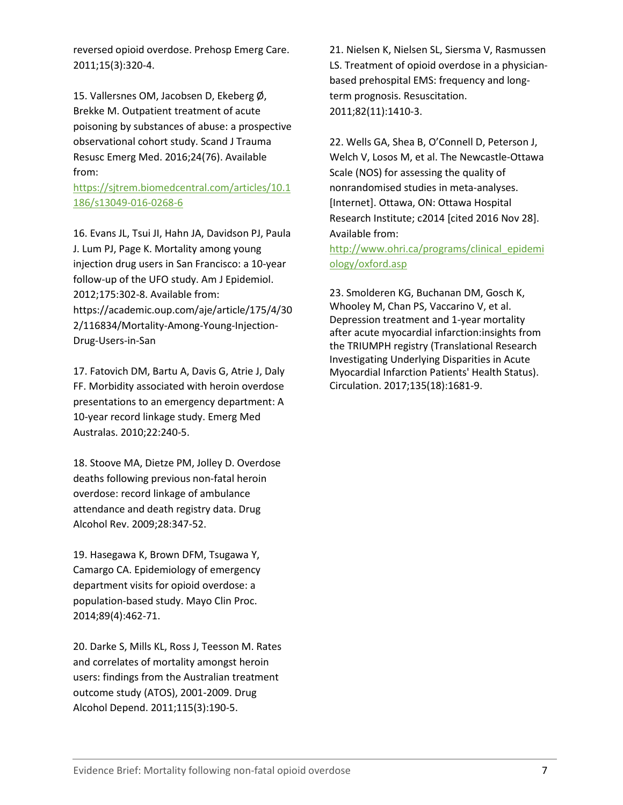reversed opioid overdose. Prehosp Emerg Care. 2011;15(3):320-4.

15. Vallersnes OM, Jacobsen D, Ekeberg Ø, Brekke M. Outpatient treatment of acute poisoning by substances of abuse: a prospective observational cohort study. Scand J Trauma Resusc Emerg Med. 2016;24(76). Available from:

[https://sjtrem.biomedcentral.com/articles/10.1](https://sjtrem.biomedcentral.com/articles/10.1186/s13049-016-0268-6) [186/s13049-016-0268-6](https://sjtrem.biomedcentral.com/articles/10.1186/s13049-016-0268-6)

16. Evans JL, Tsui JI, Hahn JA, Davidson PJ, Paula J. Lum PJ, Page K. Mortality among young injection drug users in San Francisco: a 10-year follow-up of the UFO study. Am J Epidemiol. 2012;175:302-8. Available from: https://academic.oup.com/aje/article/175/4/30 2/116834/Mortality-Among-Young-Injection-Drug-Users-in-San

17. Fatovich DM, Bartu A, Davis G, Atrie J, Daly FF. Morbidity associated with heroin overdose presentations to an emergency department: A 10-year record linkage study. Emerg Med Australas. 2010;22:240-5.

18. Stoove MA, Dietze PM, Jolley D. Overdose deaths following previous non-fatal heroin overdose: record linkage of ambulance attendance and death registry data. Drug Alcohol Rev. 2009;28:347-52.

19. Hasegawa K, Brown DFM, Tsugawa Y, Camargo CA. Epidemiology of emergency department visits for opioid overdose: a population-based study. Mayo Clin Proc. 2014;89(4):462-71.

20. Darke S, Mills KL, Ross J, Teesson M. Rates and correlates of mortality amongst heroin users: findings from the Australian treatment outcome study (ATOS), 2001-2009. Drug Alcohol Depend. 2011;115(3):190-5.

21. Nielsen K, Nielsen SL, Siersma V, Rasmussen LS. Treatment of opioid overdose in a physicianbased prehospital EMS: frequency and longterm prognosis. Resuscitation. 2011;82(11):1410-3.

22. Wells GA, Shea B, O'Connell D, Peterson J, Welch V, Losos M, et al. The Newcastle-Ottawa Scale (NOS) for assessing the quality of nonrandomised studies in meta-analyses. [Internet]. Ottawa, ON: Ottawa Hospital Research Institute; c2014 [cited 2016 Nov 28]. Available from:

[http://www.ohri.ca/programs/clinical\\_epidemi](http://www.ohri.ca/programs/clinical_epidemiology/oxford.asp) [ology/oxford.asp](http://www.ohri.ca/programs/clinical_epidemiology/oxford.asp)

23. Smolderen KG, Buchanan DM, Gosch K, Whooley M, Chan PS, Vaccarino V, et al. Depression treatment and 1-year mortality after acute myocardial infarction:insights from the TRIUMPH registry (Translational Research Investigating Underlying Disparities in Acute Myocardial Infarction Patients' Health Status). Circulation. 2017;135(18):1681-9.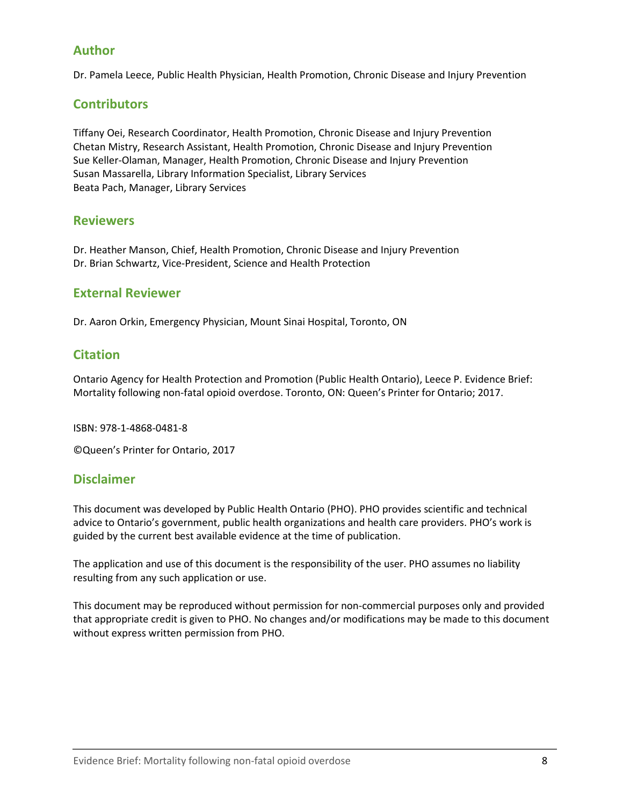# **Author**

Dr. Pamela Leece, Public Health Physician, Health Promotion, Chronic Disease and Injury Prevention

# **Contributors**

Tiffany Oei, Research Coordinator, Health Promotion, Chronic Disease and Injury Prevention Chetan Mistry, Research Assistant, Health Promotion, Chronic Disease and Injury Prevention Sue Keller-Olaman, Manager, Health Promotion, Chronic Disease and Injury Prevention Susan Massarella, Library Information Specialist, Library Services Beata Pach, Manager, Library Services

#### **Reviewers**

Dr. Heather Manson, Chief, Health Promotion, Chronic Disease and Injury Prevention Dr. Brian Schwartz, Vice-President, Science and Health Protection

#### **External Reviewer**

Dr. Aaron Orkin, Emergency Physician, Mount Sinai Hospital, Toronto, ON

# **Citation**

Ontario Agency for Health Protection and Promotion (Public Health Ontario), Leece P. Evidence Brief: Mortality following non-fatal opioid overdose. Toronto, ON: Queen's Printer for Ontario; 2017.

ISBN: 978-1-4868-0481-8

©Queen's Printer for Ontario, 2017

#### **Disclaimer**

This document was developed by Public Health Ontario (PHO). PHO provides scientific and technical advice to Ontario's government, public health organizations and health care providers. PHO's work is guided by the current best available evidence at the time of publication.

The application and use of this document is the responsibility of the user. PHO assumes no liability resulting from any such application or use.

This document may be reproduced without permission for non-commercial purposes only and provided that appropriate credit is given to PHO. No changes and/or modifications may be made to this document without express written permission from PHO.